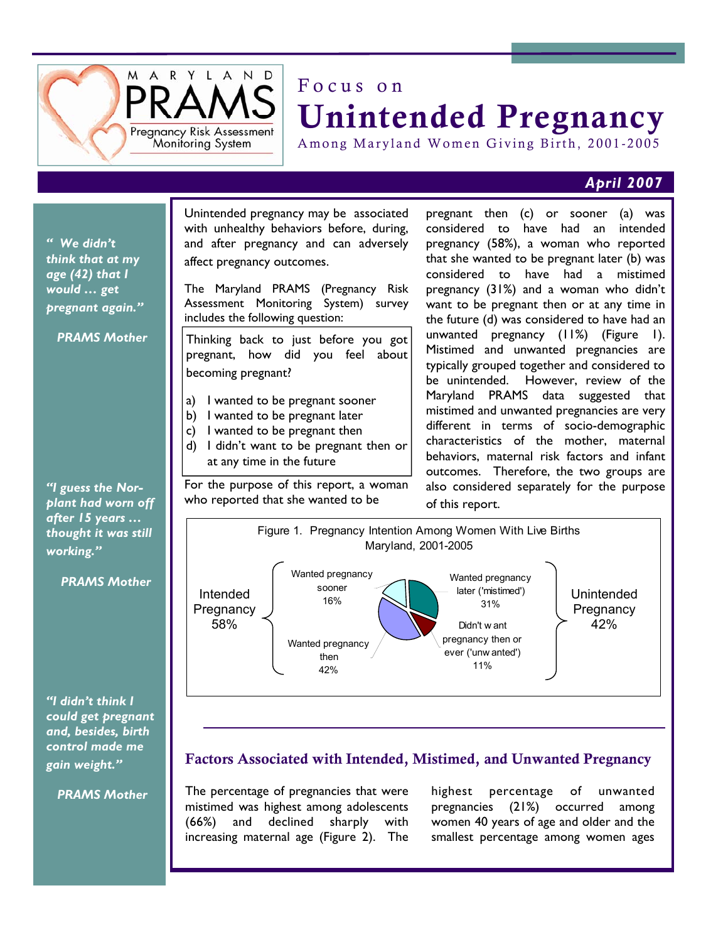

## Focus on Unintended Pregnancy

Among Maryland Women Giving Birth, 2001-2005

## *April 2007*

*" We didn't think that at my age (42) that I would … get pregnant again."* 

 *PRAMS Mother* 

*"I guess the Norplant had worn off after 15 years … thought it was still working."* 

 *PRAMS Mother* 

*"I didn't think I could get pregnant and, besides, birth control made me gain weight."* 

 *PRAMS Mother* 

Unintended pregnancy may be associated with unhealthy behaviors before, during, and after pregnancy and can adversely affect pregnancy outcomes.

The Maryland PRAMS (Pregnancy Risk Assessment Monitoring System) survey includes the following question:

Thinking back to just before you got pregnant, how did you feel about becoming pregnant?

- a) I wanted to be pregnant sooner
- b) I wanted to be pregnant later
- c) I wanted to be pregnant then
- d) I didn't want to be pregnant then or at any time in the future

For the purpose of this report, a woman who reported that she wanted to be

pregnant then (c) or sooner (a) was considered to have had an intended pregnancy (58%), a woman who reported that she wanted to be pregnant later (b) was considered to have had a mistimed pregnancy (31%) and a woman who didn't want to be pregnant then or at any time in the future (d) was considered to have had an unwanted pregnancy (11%) (Figure 1). Mistimed and unwanted pregnancies are typically grouped together and considered to be unintended. However, review of the Maryland PRAMS data suggested that mistimed and unwanted pregnancies are very different in terms of socio-demographic characteristics of the mother, maternal behaviors, maternal risk factors and infant outcomes. Therefore, the two groups are also considered separately for the purpose of this report.



## Factors Associated with Intended, Mistimed, and Unwanted Pregnancy

The percentage of pregnancies that were mistimed was highest among adolescents (66%) and declined sharply with increasing maternal age (Figure 2). The

highest percentage of unwanted pregnancies (21%) occurred among women 40 years of age and older and the smallest percentage among women ages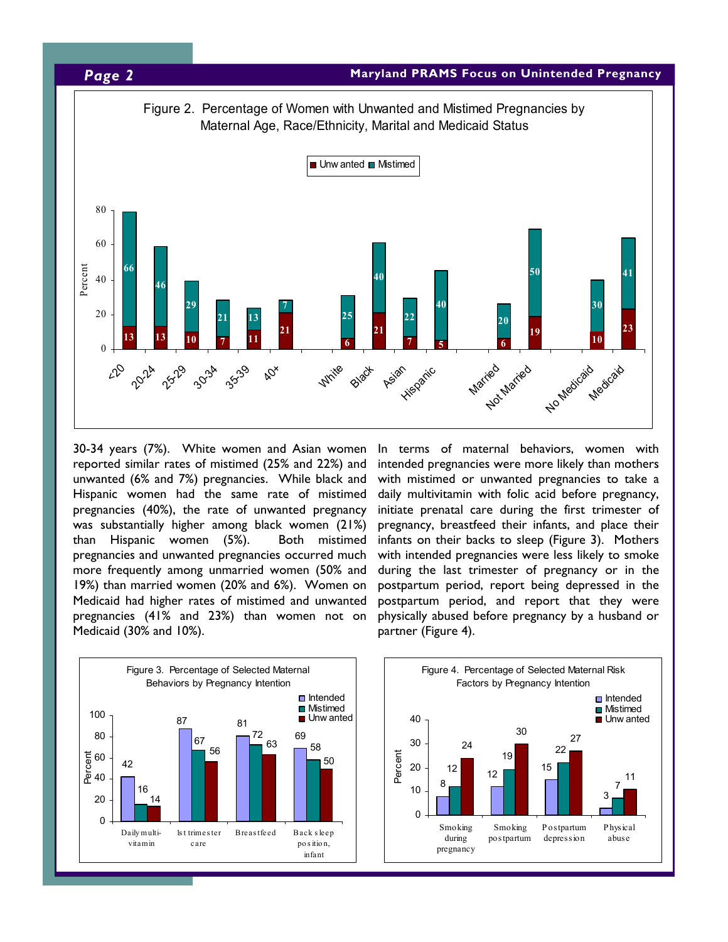

30-34 years (7%). White women and Asian women reported similar rates of mistimed (25% and 22%) and unwanted (6% and 7%) pregnancies. While black and Hispanic women had the same rate of mistimed pregnancies (40%), the rate of unwanted pregnancy was substantially higher among black women (21%) than Hispanic women (5%). Both mistimed pregnancies and unwanted pregnancies occurred much more frequently among unmarried women (50% and 19%) than married women (20% and 6%). Women on Medicaid had higher rates of mistimed and unwanted pregnancies (41% and 23%) than women not on Medicaid (30% and 10%).

In terms of maternal behaviors, women with intended pregnancies were more likely than mothers with mistimed or unwanted pregnancies to take a daily multivitamin with folic acid before pregnancy, initiate prenatal care during the first trimester of pregnancy, breastfeed their infants, and place their infants on their backs to sleep (Figure 3). Mothers with intended pregnancies were less likely to smoke during the last trimester of pregnancy or in the postpartum period, report being depressed in the postpartum period, and report that they were physically abused before pregnancy by a husband or partner (Figure 4).

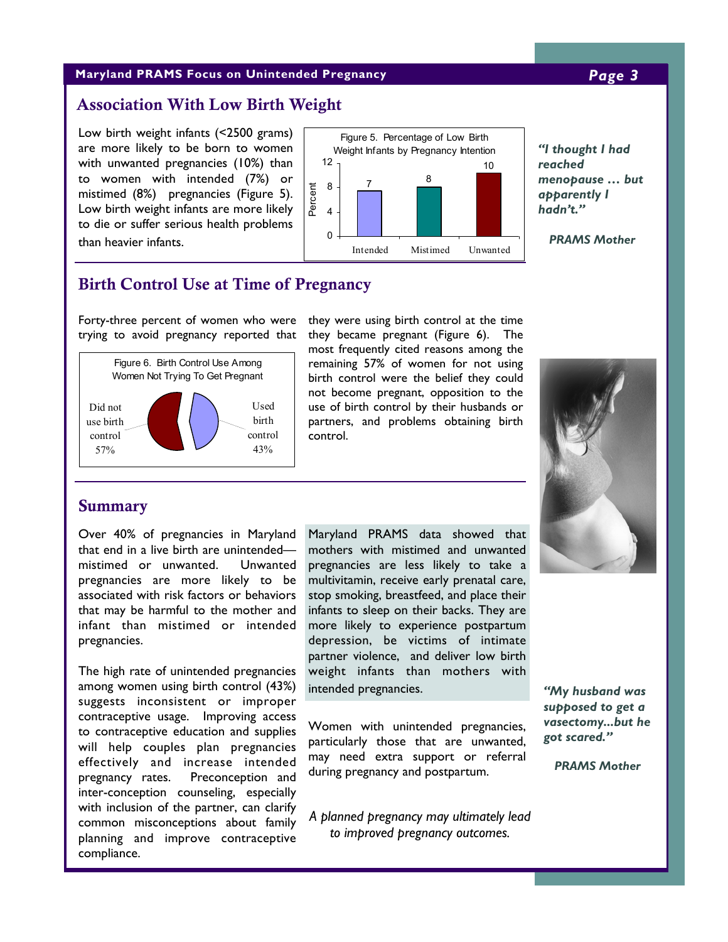## **Maryland PRAMS Focus on Unintended Pregnancy** *Page 3*

## Association With Low Birth Weight

Low birth weight infants (<2500 grams) are more likely to be born to women with unwanted pregnancies (10%) than to women with intended (7%) or mistimed (8%) pregnancies (Figure 5). Low birth weight infants are more likely to die or suffer serious health problems than heavier infants.



*"I thought I had reached menopause … but apparently I hadn't."* 

*PRAMS Mother* 

## Birth Control Use at Time of Pregnancy

Forty-three percent of women who were trying to avoid pregnancy reported that



they were using birth control at the time they became pregnant (Figure 6). The most frequently cited reasons among the remaining 57% of women for not using birth control were the belief they could not become pregnant, opposition to the use of birth control by their husbands or partners, and problems obtaining birth control.



## Summary

Over 40% of pregnancies in Maryland that end in a live birth are unintended mistimed or unwanted. Unwanted pregnancies are more likely to be associated with risk factors or behaviors that may be harmful to the mother and infant than mistimed or intended pregnancies.

The high rate of unintended pregnancies among women using birth control (43%) suggests inconsistent or improper contraceptive usage. Improving access to contraceptive education and supplies will help couples plan pregnancies effectively and increase intended pregnancy rates. Preconception and inter-conception counseling, especially with inclusion of the partner, can clarify common misconceptions about family planning and improve contraceptive compliance.

Maryland PRAMS data showed that mothers with mistimed and unwanted pregnancies are less likely to take a multivitamin, receive early prenatal care, stop smoking, breastfeed, and place their infants to sleep on their backs. They are more likely to experience postpartum depression, be victims of intimate partner violence, and deliver low birth weight infants than mothers with intended pregnancies.

Women with unintended pregnancies, particularly those that are unwanted, may need extra support or referral during pregnancy and postpartum.

*A planned pregnancy may ultimately lead to improved pregnancy outcomes.* 

*"My husband was supposed to get a vasectomy...but he got scared."* 

*PRAMS Mother*